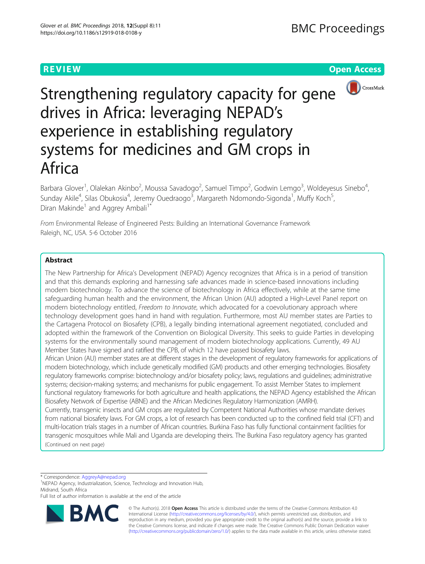# **REVIEW CONSIDERING CONSIDERING CONSIDERING CONSIDERING CONSIDERING CONSIDERING CONSIDERING CONSIDERING CONSIDERING CONSIDERING CONSIDERING CONSIDERING CONSIDERING CONSIDERING CONSIDERING CONSIDERING CONSIDERING CONSIDER**



# Strengthening regulatory capacity for gene drives in Africa: leveraging NEPAD's experience in establishing regulatory systems for medicines and GM crops in Africa

Barbara Glover<sup>1</sup>, Olalekan Akinbo<sup>2</sup>, Moussa Savadogo<sup>2</sup>, Samuel Timpo<sup>2</sup>, Godwin Lemgo<sup>3</sup>, Woldeyesus Sinebo<sup>4</sup> , Sunday Akile<sup>4</sup>, Silas Obukosia<sup>4</sup>, Jeremy Ouedraogo<sup>3</sup>, Margareth Ndomondo-Sigonda<sup>1</sup>, Muffy Koch<sup>5</sup> , Diran Makinde<sup>1</sup> and Aggrey Ambali<sup>1\*</sup>

From Environmental Release of Engineered Pests: Building an International Governance Framework Raleigh, NC, USA. 5-6 October 2016

# Abstract

The New Partnership for Africa's Development (NEPAD) Agency recognizes that Africa is in a period of transition and that this demands exploring and harnessing safe advances made in science-based innovations including modern biotechnology. To advance the science of biotechnology in Africa effectively, while at the same time safeguarding human health and the environment, the African Union (AU) adopted a High-Level Panel report on modern biotechnology entitled, Freedom to Innovate, which advocated for a coevolutionary approach where technology development goes hand in hand with regulation. Furthermore, most AU member states are Parties to the Cartagena Protocol on Biosafety (CPB), a legally binding international agreement negotiated, concluded and adopted within the framework of the Convention on Biological Diversity. This seeks to guide Parties in developing systems for the environmentally sound management of modern biotechnology applications. Currently, 49 AU Member States have signed and ratified the CPB, of which 12 have passed biosafety laws.

African Union (AU) member states are at different stages in the development of regulatory frameworks for applications of modern biotechnology, which include genetically modified (GM) products and other emerging technologies. Biosafety regulatory frameworks comprise: biotechnology and/or biosafety policy; laws, regulations and guidelines; administrative systems; decision-making systems; and mechanisms for public engagement. To assist Member States to implement functional regulatory frameworks for both agriculture and health applications, the NEPAD Agency established the African Biosafety Network of Expertise (ABNE) and the African Medicines Regulatory Harmonization (AMRH).

Currently, transgenic insects and GM crops are regulated by Competent National Authorities whose mandate derives from national biosafety laws. For GM crops, a lot of research has been conducted up to the confined field trial (CFT) and multi-location trials stages in a number of African countries. Burkina Faso has fully functional containment facilities for transgenic mosquitoes while Mali and Uganda are developing theirs. The Burkina Faso regulatory agency has granted (Continued on next page)

\* Correspondence: [AggreyA@nepad.org](mailto:AggreyA@nepad.org) <sup>1</sup>

<sup>1</sup>NEPAD Agency, Industrialization, Science, Technology and Innovation Hub, Midrand, South Africa

Full list of author information is available at the end of the article



© The Author(s). 2018 Open Access This article is distributed under the terms of the Creative Commons Attribution 4.0 International License [\(http://creativecommons.org/licenses/by/4.0/](http://creativecommons.org/licenses/by/4.0/)), which permits unrestricted use, distribution, and reproduction in any medium, provided you give appropriate credit to the original author(s) and the source, provide a link to the Creative Commons license, and indicate if changes were made. The Creative Commons Public Domain Dedication waiver [\(http://creativecommons.org/publicdomain/zero/1.0/](http://creativecommons.org/publicdomain/zero/1.0/)) applies to the data made available in this article, unless otherwise stated.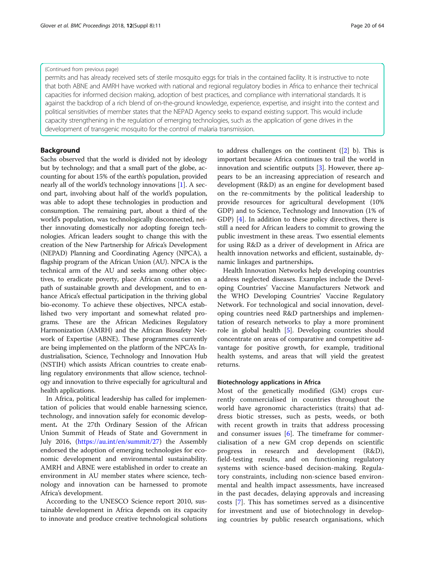#### (Continued from previous page)

permits and has already received sets of sterile mosquito eggs for trials in the contained facility. It is instructive to note that both ABNE and AMRH have worked with national and regional regulatory bodies in Africa to enhance their technical capacities for informed decision making, adoption of best practices, and compliance with international standards. It is against the backdrop of a rich blend of on-the-ground knowledge, experience, expertise, and insight into the context and political sensitivities of member states that the NEPAD Agency seeks to expand existing support. This would include capacity strengthening in the regulation of emerging technologies, such as the application of gene drives in the development of transgenic mosquito for the control of malaria transmission.

### Background

Sachs observed that the world is divided not by ideology but by technology; and that a small part of the globe, accounting for about 15% of the earth's population, provided nearly all of the world's technology innovations [\[1\]](#page-9-0). A second part, involving about half of the world's population, was able to adopt these technologies in production and consumption. The remaining part, about a third of the world's population, was technologically disconnected, neither innovating domestically nor adopting foreign technologies. African leaders sought to change this with the creation of the New Partnership for Africa's Development (NEPAD) Planning and Coordinating Agency (NPCA), a flagship program of the African Union (AU). NPCA is the technical arm of the AU and seeks among other objectives, to eradicate poverty, place African countries on a path of sustainable growth and development, and to enhance Africa's effectual participation in the thriving global bio-economy. To achieve these objectives, NPCA established two very important and somewhat related programs. These are the African Medicines Regulatory Harmonization (AMRH) and the African Biosafety Network of Expertise (ABNE). These programmes currently are being implemented on the platform of the NPCA's Industrialisation, Science, Technology and Innovation Hub (NSTIH) which assists African countries to create enabling regulatory environments that allow science, technology and innovation to thrive especially for agricultural and health applications.

In Africa, political leadership has called for implementation of policies that would enable harnessing science, technology, and innovation safely for economic development. At the 27th Ordinary Session of the African Union Summit of Heads of State and Government in July 2016, (<https://au.int/en/summit/27>) the Assembly endorsed the adoption of emerging technologies for economic development and environmental sustainability. AMRH and ABNE were established in order to create an environment in AU member states where science, technology and innovation can be harnessed to promote Africa's development.

According to the UNESCO Science report 2010, sustainable development in Africa depends on its capacity to innovate and produce creative technological solutions to address challenges on the continent ([[2\]](#page-9-0) b). This is important because Africa continues to trail the world in innovation and scientific outputs [[3\]](#page-9-0). However, there appears to be an increasing appreciation of research and development (R&D) as an engine for development based on the re-commitments by the political leadership to provide resources for agricultural development (10% GDP) and to Science, Technology and Innovation (1% of GDP) [[4\]](#page-9-0). In addition to these policy directives, there is still a need for African leaders to commit to growing the public investment in these areas. Two essential elements for using R&D as a driver of development in Africa are health innovation networks and efficient, sustainable, dynamic linkages and partnerships.

Health Innovation Networks help developing countries address neglected diseases. Examples include the Developing Countries' Vaccine Manufacturers Network and the WHO Developing Countries' Vaccine Regulatory Network. For technological and social innovation, developing countries need R&D partnerships and implementation of research networks to play a more prominent role in global health [[5\]](#page-9-0). Developing countries should concentrate on areas of comparative and competitive advantage for positive growth, for example, traditional health systems, and areas that will yield the greatest returns.

#### Biotechnology applications in Africa

Most of the genetically modified (GM) crops currently commercialised in countries throughout the world have agronomic characteristics (traits) that address biotic stresses, such as pests, weeds, or both with recent growth in traits that address processing and consumer issues  $[6]$  $[6]$ . The timeframe for commercialisation of a new GM crop depends on scientific progress in research and development (R&D), field-testing results, and on functioning regulatory systems with science-based decision-making. Regulatory constraints, including non-science based environmental and health impact assessments, have increased in the past decades, delaying approvals and increasing costs [[7\]](#page-9-0). This has sometimes served as a disincentive for investment and use of biotechnology in developing countries by public research organisations, which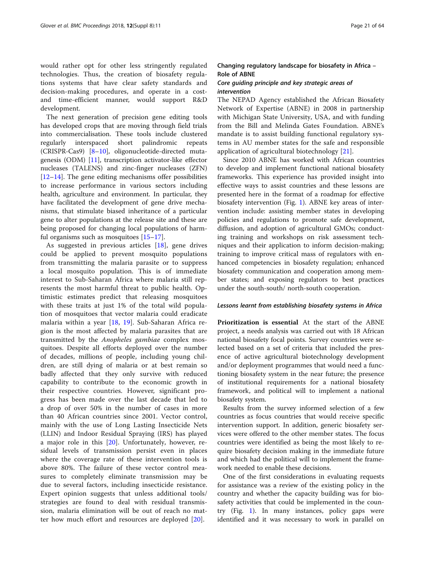would rather opt for other less stringently regulated technologies. Thus, the creation of biosafety regulations systems that have clear safety standards and decision-making procedures, and operate in a costand time-efficient manner, would support R&D development.

The next generation of precision gene editing tools has developed crops that are moving through field trials into commercialisation. These tools include clustered regularly interspaced short palindromic repeats (CRISPR-Cas9) [\[8](#page-9-0)–[10\]](#page-9-0), oligonucleotide-directed mutagenesis (ODM) [[11\]](#page-9-0), transcription activator-like effector nucleases (TALENS) and zinc-finger nucleases (ZFN) [[12](#page-9-0)–[14](#page-9-0)]. The gene editing mechanisms offer possibilities to increase performance in various sectors including health, agriculture and environment. In particular, they have facilitated the development of gene drive mechanisms, that stimulate biased inheritance of a particular gene to alter populations at the release site and these are being proposed for changing local populations of harmful organisms such as mosquitoes [[15](#page-9-0)–[17](#page-9-0)].

As suggested in previous articles [\[18](#page-9-0)], gene drives could be applied to prevent mosquito populations from transmitting the malaria parasite or to suppress a local mosquito population. This is of immediate interest to Sub-Saharan Africa where malaria still represents the most harmful threat to public health. Optimistic estimates predict that releasing mosquitoes with these traits at just 1% of the total wild population of mosquitoes that vector malaria could eradicate malaria within a year [[18](#page-9-0), [19\]](#page-9-0). Sub-Saharan Africa region is the most affected by malaria parasites that are transmitted by the Anopheles gambiae complex mosquitoes. Despite all efforts deployed over the number of decades, millions of people, including young children, are still dying of malaria or at best remain so badly affected that they only survive with reduced capability to contribute to the economic growth in their respective countries. However, significant progress has been made over the last decade that led to a drop of over 50% in the number of cases in more than 40 African countries since 2001. Vector control, mainly with the use of Long Lasting Insecticide Nets (LLIN) and Indoor Residual Spraying (IRS) has played a major role in this [[20\]](#page-9-0). Unfortunately, however, residual levels of transmission persist even in places where the coverage rate of these intervention tools is above 80%. The failure of these vector control measures to completely eliminate transmission may be due to several factors, including insecticide resistance. Expert opinion suggests that unless additional tools/ strategies are found to deal with residual transmission, malaria elimination will be out of reach no matter how much effort and resources are deployed [\[20](#page-9-0)].

## Changing regulatory landscape for biosafety in Africa – Role of ABNE

#### Core guiding principle and key strategic areas of intervention

The NEPAD Agency established the African Biosafety Network of Expertise (ABNE) in 2008 in partnership with Michigan State University, USA, and with funding from the Bill and Melinda Gates Foundation. ABNE's mandate is to assist building functional regulatory systems in AU member states for the safe and responsible application of agricultural biotechnology [\[21](#page-9-0)].

Since 2010 ABNE has worked with African countries to develop and implement functional national biosafety frameworks. This experience has provided insight into effective ways to assist countries and these lessons are presented here in the format of a roadmap for effective biosafety intervention (Fig. [1](#page-3-0)). ABNE key areas of intervention include: assisting member states in developing policies and regulations to promote safe development, diffusion, and adoption of agricultural GMOs; conducting training and workshops on risk assessment techniques and their application to inform decision-making; training to improve critical mass of regulators with enhanced competencies in biosafety regulation; enhanced biosafety communication and cooperation among member states; and exposing regulators to best practices under the south-south/ north-south cooperation.

#### Lessons learnt from establishing biosafety systems in Africa

Prioritization is essential At the start of the ABNE project, a needs analysis was carried out with 18 African national biosafety focal points. Survey countries were selected based on a set of criteria that included the presence of active agricultural biotechnology development and/or deployment programmes that would need a functioning biosafety system in the near future; the presence of institutional requirements for a national biosafety framework, and political will to implement a national biosafety system.

Results from the survey informed selection of a few countries as focus countries that would receive specific intervention support. In addition, generic biosafety services were offered to the other member states. The focus countries were identified as being the most likely to require biosafety decision making in the immediate future and which had the political will to implement the framework needed to enable these decisions.

One of the first considerations in evaluating requests for assistance was a review of the existing policy in the country and whether the capacity building was for biosafety activities that could be implemented in the country (Fig. [1](#page-3-0)). In many instances, policy gaps were identified and it was necessary to work in parallel on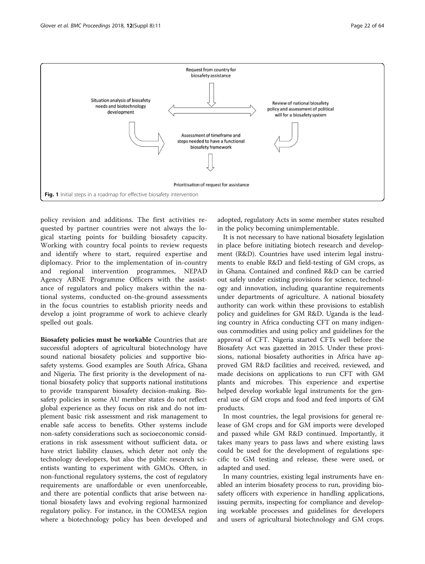<span id="page-3-0"></span>

policy revision and additions. The first activities requested by partner countries were not always the logical starting points for building biosafety capacity. Working with country focal points to review requests and identify where to start, required expertise and diplomacy. Prior to the implementation of in-country and regional intervention programmes, NEPAD Agency ABNE Programme Officers with the assistance of regulators and policy makers within the national systems, conducted on-the-ground assessments in the focus countries to establish priority needs and develop a joint programme of work to achieve clearly spelled out goals.

Biosafety policies must be workable Countries that are successful adopters of agricultural biotechnology have sound national biosafety policies and supportive biosafety systems. Good examples are South Africa, Ghana and Nigeria. The first priority is the development of national biosafety policy that supports national institutions to provide transparent biosafety decision-making. Biosafety policies in some AU member states do not reflect global experience as they focus on risk and do not implement basic risk assessment and risk management to enable safe access to benefits. Other systems include non-safety considerations such as socioeconomic considerations in risk assessment without sufficient data, or have strict liability clauses, which deter not only the technology developers, but also the public research scientists wanting to experiment with GMOs. Often, in non-functional regulatory systems, the cost of regulatory requirements are unaffordable or even unenforceable, and there are potential conflicts that arise between national biosafety laws and evolving regional harmonized regulatory policy. For instance, in the COMESA region where a biotechnology policy has been developed and

adopted, regulatory Acts in some member states resulted in the policy becoming unimplementable.

It is not necessary to have national biosafety legislation in place before initiating biotech research and development (R&D). Countries have used interim legal instruments to enable R&D and field-testing of GM crops, as in Ghana. Contained and confined R&D can be carried out safely under existing provisions for science, technology and innovation, including quarantine requirements under departments of agriculture. A national biosafety authority can work within these provisions to establish policy and guidelines for GM R&D. Uganda is the leading country in Africa conducting CFT on many indigenous commodities and using policy and guidelines for the approval of CFT. Nigeria started CFTs well before the Biosafety Act was gazetted in 2015. Under these provisions, national biosafety authorities in Africa have approved GM R&D facilities and received, reviewed, and made decisions on applications to run CFT with GM plants and microbes. This experience and expertise helped develop workable legal instruments for the general use of GM crops and food and feed imports of GM products.

In most countries, the legal provisions for general release of GM crops and for GM imports were developed and passed while GM R&D continued. Importantly, it takes many years to pass laws and where existing laws could be used for the development of regulations specific to GM testing and release, these were used, or adapted and used.

In many countries, existing legal instruments have enabled an interim biosafety process to run, providing biosafety officers with experience in handling applications, issuing permits, inspecting for compliance and developing workable processes and guidelines for developers and users of agricultural biotechnology and GM crops.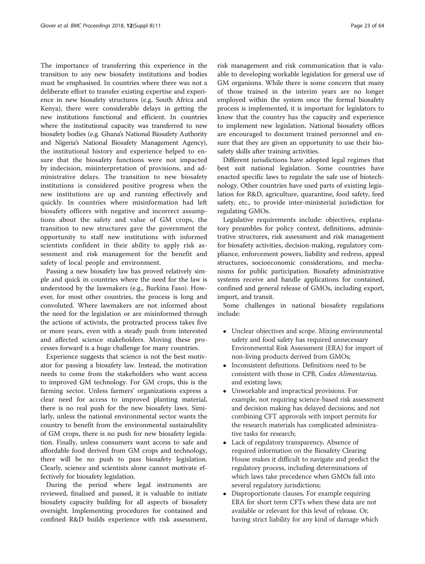The importance of transferring this experience in the transition to any new biosafety institutions and bodies must be emphasised. In countries where there was not a deliberate effort to transfer existing expertise and experience in new biosafety structures (e.g. South Africa and Kenya), there were considerable delays in getting the new institutions functional and efficient. In countries where the institutional capacity was transferred to new biosafety bodies (e.g. Ghana's National Biosafety Authority and Nigeria's National Biosafety Management Agency), the institutional history and experience helped to ensure that the biosafety functions were not impacted by indecision, misinterpretation of provisions, and administrative delays. The transition to new biosafety institutions is considered positive progress when the new institutions are up and running effectively and quickly. In countries where misinformation had left biosafety officers with negative and incorrect assumptions about the safety and value of GM crops, the transition to new structures gave the government the opportunity to staff new institutions with informed scientists confident in their ability to apply risk assessment and risk management for the benefit and safety of local people and environment.

Passing a new biosafety law has proved relatively simple and quick in countries where the need for the law is understood by the lawmakers (e.g., Burkina Faso). However, for most other countries, the process is long and convoluted. Where lawmakers are not informed about the need for the legislation or are misinformed through the actions of activists, the protracted process takes five or more years, even with a steady push from interested and affected science stakeholders. Moving these processes forward is a huge challenge for many countries.

Experience suggests that science is not the best motivator for passing a biosafety law. Instead, the motivation needs to come from the stakeholders who want access to improved GM technology. For GM crops, this is the farming sector. Unless farmers' organizations express a clear need for access to improved planting material, there is no real push for the new biosafety laws. Similarly, unless the national environmental sector wants the country to benefit from the environmental sustainability of GM crops, there is no push for new biosafety legislation. Finally, unless consumers want access to safe and affordable food derived from GM crops and technology, there will be no push to pass biosafety legislation. Clearly, science and scientists alone cannot motivate effectively for biosafety legislation.

During the period where legal instruments are reviewed, finalised and passed, it is valuable to initiate biosafety capacity building for all aspects of biosafety oversight. Implementing procedures for contained and confined R&D builds experience with risk assessment,

risk management and risk communication that is valuable to developing workable legislation for general use of GM organisms. While there is some concern that many of those trained in the interim years are no longer employed within the system once the formal biosafety process is implemented, it is important for legislators to know that the country has the capacity and experience to implement new legislation. National biosafety offices are encouraged to document trained personnel and ensure that they are given an opportunity to use their biosafety skills after training activities.

Different jurisdictions have adopted legal regimes that best suit national legislation. Some countries have enacted specific laws to regulate the safe use of biotechnology. Other countries have used parts of existing legislation for R&D, agriculture, quarantine, food safety, feed safety, etc., to provide inter-ministerial jurisdiction for regulating GMOs.

Legislative requirements include: objectives, explanatory preambles for policy context, definitions, administrative structures, risk assessment and risk management for biosafety activities, decision-making, regulatory compliance, enforcement powers, liability and redress, appeal structures, socioeconomic considerations, and mechanisms for public participation. Biosafety administrative systems receive and handle applications for contained, confined and general release of GMOs, including export, import, and transit.

Some challenges in national biosafety regulations include:

- Unclear objectives and scope. Mixing environmental safety and food safety has required unnecessary Environmental Risk Assessment (ERA) for import of non-living products derived from GMOs;
- Inconsistent definitions. Definitions need to be consistent with those in CPB, Codex Alimentarius, and existing laws;
- Unworkable and impractical provisions. For example, not requiring science-based risk assessment and decision making has delayed decisions; and not combining CFT approvals with import permits for the research materials has complicated administrative tasks for research;
- Lack of regulatory transparency. Absence of required information on the Biosafety Clearing House makes it difficult to navigate and predict the regulatory process, including determinations of which laws take precedence when GMOs fall into several regulatory jurisdictions;
- Disproportionate clauses. For example requiring ERA for short term CFTs when these data are not available or relevant for this level of release. Or, having strict liability for any kind of damage which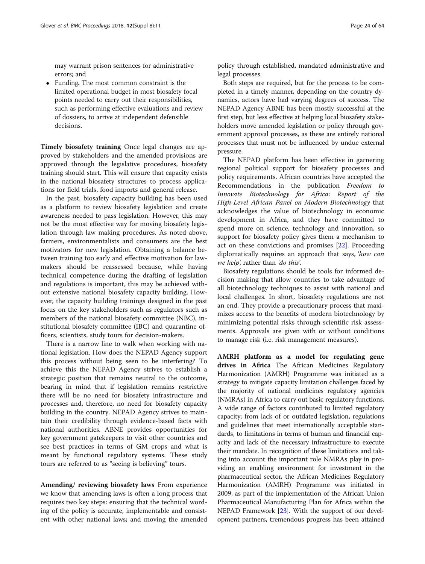may warrant prison sentences for administrative errors; and

• Funding. The most common constraint is the limited operational budget in most biosafety focal points needed to carry out their responsibilities, such as performing effective evaluations and review of dossiers, to arrive at independent defensible decisions.

Timely biosafety training Once legal changes are approved by stakeholders and the amended provisions are approved through the legislative procedures, biosafety training should start. This will ensure that capacity exists in the national biosafety structures to process applications for field trials, food imports and general release.

In the past, biosafety capacity building has been used as a platform to review biosafety legislation and create awareness needed to pass legislation. However, this may not be the most effective way for moving biosafety legislation through law making procedures. As noted above, farmers, environmentalists and consumers are the best motivators for new legislation. Obtaining a balance between training too early and effective motivation for lawmakers should be reassessed because, while having technical competence during the drafting of legislation and regulations is important, this may be achieved without extensive national biosafety capacity building. However, the capacity building trainings designed in the past focus on the key stakeholders such as regulators such as members of the national biosafety committee (NBC), institutional biosafety committee (IBC) and quarantine officers, scientists, study tours for decision-makers.

There is a narrow line to walk when working with national legislation. How does the NEPAD Agency support this process without being seen to be interfering? To achieve this the NEPAD Agency strives to establish a strategic position that remains neutral to the outcome, bearing in mind that if legislation remains restrictive there will be no need for biosafety infrastructure and processes and, therefore, no need for biosafety capacity building in the country. NEPAD Agency strives to maintain their credibility through evidence-based facts with national authorities. ABNE provides opportunities for key government gatekeepers to visit other countries and see best practices in terms of GM crops and what is meant by functional regulatory systems. These study tours are referred to as "seeing is believing" tours.

Amending/ reviewing biosafety laws From experience we know that amending laws is often a long process that requires two key steps: ensuring that the technical wording of the policy is accurate, implementable and consistent with other national laws; and moving the amended

policy through established, mandated administrative and legal processes.

Both steps are required, but for the process to be completed in a timely manner, depending on the country dynamics, actors have had varying degrees of success. The NEPAD Agency ABNE has been mostly successful at the first step, but less effective at helping local biosafety stakeholders move amended legislation or policy through government approval processes, as these are entirely national processes that must not be influenced by undue external pressure.

The NEPAD platform has been effective in garnering regional political support for biosafety processes and policy requirements. African countries have accepted the Recommendations in the publication Freedom to Innovate Biotechnology for Africa: Report of the High-Level African Panel on Modern Biotechnology that acknowledges the value of biotechnology in economic development in Africa, and they have committed to spend more on science, technology and innovation, so support for biosafety policy gives them a mechanism to act on these convictions and promises [[22\]](#page-9-0). Proceeding diplomatically requires an approach that says, 'how can we help', rather than 'do this'.

Biosafety regulations should be tools for informed decision making that allow countries to take advantage of all biotechnology techniques to assist with national and local challenges. In short, biosafety regulations are not an end. They provide a precautionary process that maximizes access to the benefits of modern biotechnology by minimizing potential risks through scientific risk assessments. Approvals are given with or without conditions to manage risk (i.e. risk management measures).

AMRH platform as a model for regulating gene drives in Africa The African Medicines Regulatory Harmonization (AMRH) Programme was initiated as a strategy to mitigate capacity limitation challenges faced by the majority of national medicines regulatory agencies (NMRAs) in Africa to carry out basic regulatory functions. A wide range of factors contributed to limited regulatory capacity; from lack of or outdated legislation, regulations and guidelines that meet internationally acceptable standards, to limitations in terms of human and financial capacity and lack of the necessary infrastructure to execute their mandate. In recognition of these limitations and taking into account the important role NMRAs play in providing an enabling environment for investment in the pharmaceutical sector, the African Medicines Regulatory Harmonization (AMRH) Programme was initiated in 2009, as part of the implementation of the African Union Pharmaceutical Manufacturing Plan for Africa within the NEPAD Framework [\[23\]](#page-9-0). With the support of our development partners, tremendous progress has been attained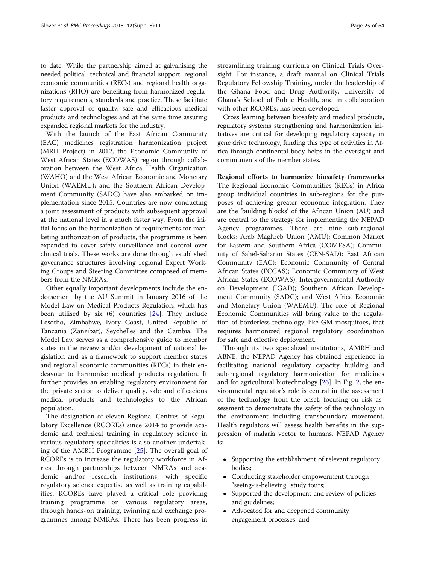to date. While the partnership aimed at galvanising the needed political, technical and financial support, regional economic communities (RECs) and regional health organizations (RHO) are benefiting from harmonized regulatory requirements, standards and practice. These facilitate faster approval of quality, safe and efficacious medical products and technologies and at the same time assuring expanded regional markets for the industry.

With the launch of the East African Community (EAC) medicines registration harmonization project (MRH Project) in 2012, the Economic Community of West African States (ECOWAS) region through collaboration between the West Africa Health Organization (WAHO) and the West African Economic and Monetary Union (WAEMU); and the Southern African Development Community (SADC) have also embarked on implementation since 2015. Countries are now conducting a joint assessment of products with subsequent approval at the national level in a much faster way. From the initial focus on the harmonization of requirements for marketing authorization of products, the programme is been expanded to cover safety surveillance and control over clinical trials. These works are done through established governance structures involving regional Expert Working Groups and Steering Committee composed of members from the NMRAs.

Other equally important developments include the endorsement by the AU Summit in January 2016 of the Model Law on Medical Products Regulation, which has been utilised by six  $(6)$  countries  $[24]$  $[24]$ . They include Lesotho, Zimbabwe, Ivory Coast, United Republic of Tanzania (Zanzibar), Seychelles and the Gambia. The Model Law serves as a comprehensive guide to member states in the review and/or development of national legislation and as a framework to support member states and regional economic communities (RECs) in their endeavour to harmonise medical products regulation. It further provides an enabling regulatory environment for the private sector to deliver quality, safe and efficacious medical products and technologies to the African population.

The designation of eleven Regional Centres of Regulatory Excellence (RCOREs) since 2014 to provide academic and technical training in regulatory science in various regulatory specialities is also another undertaking of the AMRH Programme [\[25](#page-9-0)]. The overall goal of RCOREs is to increase the regulatory workforce in Africa through partnerships between NMRAs and academic and/or research institutions; with specific regulatory science expertise as well as training capabilities. RCOREs have played a critical role providing training programme on various regulatory areas, through hands-on training, twinning and exchange programmes among NMRAs. There has been progress in streamlining training curricula on Clinical Trials Oversight. For instance, a draft manual on Clinical Trials Regulatory Fellowship Training, under the leadership of the Ghana Food and Drug Authority, University of Ghana's School of Public Health, and in collaboration with other RCOREs, has been developed.

Cross learning between biosafety and medical products, regulatory systems strengthening and harmonization initiatives are critical for developing regulatory capacity in gene drive technology, funding this type of activities in Africa through continental body helps in the oversight and commitments of the member states.

Regional efforts to harmonize biosafety frameworks The Regional Economic Communities (RECs) in Africa group individual countries in sub-regions for the purposes of achieving greater economic integration. They are the 'building blocks' of the African Union (AU) and are central to the strategy for implementing the NEPAD Agency programmes. There are nine sub-regional blocks: Arab Maghreb Union (AMU); Common Market for Eastern and Southern Africa (COMESA); Community of Sahel-Saharan States (CEN-SAD); East African Community (EAC); Economic Community of Central African States (ECCAS); Economic Community of West African States (ECOWAS); Intergovernmental Authority on Development (IGAD); Southern African Development Community (SADC); and West Africa Economic and Monetary Union (WAEMU). The role of Regional Economic Communities will bring value to the regulation of borderless technology, like GM mosquitoes, that requires harmonized regional regulatory coordination for safe and effective deployment.

Through its two specialized institutions, AMRH and ABNE, the NEPAD Agency has obtained experience in facilitating national regulatory capacity building and sub-regional regulatory harmonization for medicines and for agricultural biotechnology [\[26](#page-9-0)]. In Fig. [2,](#page-7-0) the environmental regulator's role is central in the assessment of the technology from the onset, focusing on risk assessment to demonstrate the safety of the technology in the environment including transboundary movement. Health regulators will assess health benefits in the suppression of malaria vector to humans. NEPAD Agency is:

- Supporting the establishment of relevant regulatory bodies;
- Conducting stakeholder empowerment through "seeing-is-believing" study tours;
- Supported the development and review of policies and guidelines;
- Advocated for and deepened community engagement processes; and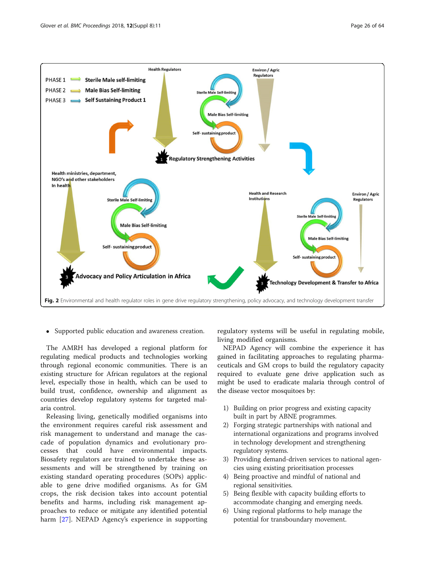<span id="page-7-0"></span>

• Supported public education and awareness creation.

The AMRH has developed a regional platform for regulating medical products and technologies working through regional economic communities. There is an existing structure for African regulators at the regional level, especially those in health, which can be used to build trust, confidence, ownership and alignment as countries develop regulatory systems for targeted malaria control.

Releasing living, genetically modified organisms into the environment requires careful risk assessment and risk management to understand and manage the cascade of population dynamics and evolutionary processes that could have environmental impacts. Biosafety regulators are trained to undertake these assessments and will be strengthened by training on existing standard operating procedures (SOPs) applicable to gene drive modified organisms. As for GM crops, the risk decision takes into account potential benefits and harms, including risk management approaches to reduce or mitigate any identified potential harm [\[27](#page-9-0)]. NEPAD Agency's experience in supporting

regulatory systems will be useful in regulating mobile, living modified organisms.

NEPAD Agency will combine the experience it has gained in facilitating approaches to regulating pharmaceuticals and GM crops to build the regulatory capacity required to evaluate gene drive application such as might be used to eradicate malaria through control of the disease vector mosquitoes by:

- 1) Building on prior progress and existing capacity built in part by ABNE programmes.
- 2) Forging strategic partnerships with national and international organizations and programs involved in technology development and strengthening regulatory systems.
- 3) Providing demand-driven services to national agencies using existing prioritisation processes
- 4) Being proactive and mindful of national and regional sensitivities.
- 5) Being flexible with capacity building efforts to accommodate changing and emerging needs.
- 6) Using regional platforms to help manage the potential for transboundary movement.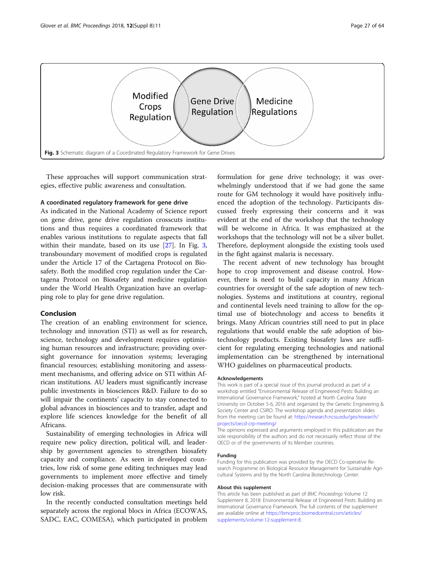

These approaches will support communication strategies, effective public awareness and consultation.

#### A coordinated regulatory framework for gene drive

As indicated in the National Academy of Science report on gene drive, gene drive regulation crosscuts institutions and thus requires a coordinated framework that enables various institutions to regulate aspects that fall within their mandate, based on its use [\[27](#page-9-0)]. In Fig. 3, transboundary movement of modified crops is regulated under the Article 17 of the Cartagena Protocol on Biosafety. Both the modified crop regulation under the Cartagena Protocol on Biosafety and medicine regulation under the World Health Organization have an overlapping role to play for gene drive regulation.

#### Conclusion

The creation of an enabling environment for science, technology and innovation (STI) as well as for research, science, technology and development requires optimising human resources and infrastructure; providing oversight governance for innovation systems; leveraging financial resources; establishing monitoring and assessment mechanisms, and offering advice on STI within African institutions. AU leaders must significantly increase public investments in biosciences R&D. Failure to do so will impair the continents' capacity to stay connected to global advances in biosciences and to transfer, adapt and explore life sciences knowledge for the benefit of all Africans.

Sustainability of emerging technologies in Africa will require new policy direction, political will, and leadership by government agencies to strengthen biosafety capacity and compliance. As seen in developed countries, low risk of some gene editing techniques may lead governments to implement more effective and timely decision-making processes that are commensurate with low risk.

In the recently conducted consultation meetings held separately across the regional blocs in Africa (ECOWAS, SADC, EAC, COMESA), which participated in problem

formulation for gene drive technology; it was overwhelmingly understood that if we had gone the same route for GM technology it would have positively influenced the adoption of the technology. Participants discussed freely expressing their concerns and it was evident at the end of the workshop that the technology will be welcome in Africa. It was emphasized at the workshops that the technology will not be a silver bullet. Therefore, deployment alongside the existing tools used in the fight against malaria is necessary.

The recent advent of new technology has brought hope to crop improvement and disease control. However, there is need to build capacity in many African countries for oversight of the safe adoption of new technologies. Systems and institutions at country, regional and continental levels need training to allow for the optimal use of biotechnology and access to benefits it brings. Many African countries still need to put in place regulations that would enable the safe adoption of biotechnology products. Existing biosafety laws are sufficient for regulating emerging technologies and national implementation can be strengthened by international WHO guidelines on pharmaceutical products.

#### Acknowledgements

This work is part of a special issue of this journal produced as part of a workshop entitled "Environmental Release of Engineered Pests: Building an International Governance Framework," hosted at North Carolina State University on October 5-6, 2016 and organized by the Genetic Engineering & Society Center and CSIRO. The workshop agenda and presentation slides from the meeting can be found at: [https://research.ncsu.edu/ges/research/](https://research.ncsu.edu/ges/research/projects/oecd-crp-meeting) [projects/oecd-crp-meeting/](https://research.ncsu.edu/ges/research/projects/oecd-crp-meeting)

The opinions expressed and arguments employed in this publication are the sole responsibility of the authors and do not necessarily reflect those of the OECD or of the governments of its Member countries.

#### Funding

Funding for this publication was provided by the OECD Co-operative Research Programme on Biological Resource Management for Sustainable Agricultural Systems and by the North Carolina Biotechnology Center.

#### About this supplement

This article has been published as part of BMC Proceedings Volume 12 Supplement 8, 2018: Environmental Release of Engineered Pests: Building an International Governance Framework. The full contents of the supplement are available online at [https://bmcproc.biomedcentral.com/articles/](https://bmcproc.biomedcentral.com/articles/supplements/volume-12-supplement-8) [supplements/volume-12-supplement-8.](https://bmcproc.biomedcentral.com/articles/supplements/volume-12-supplement-8)